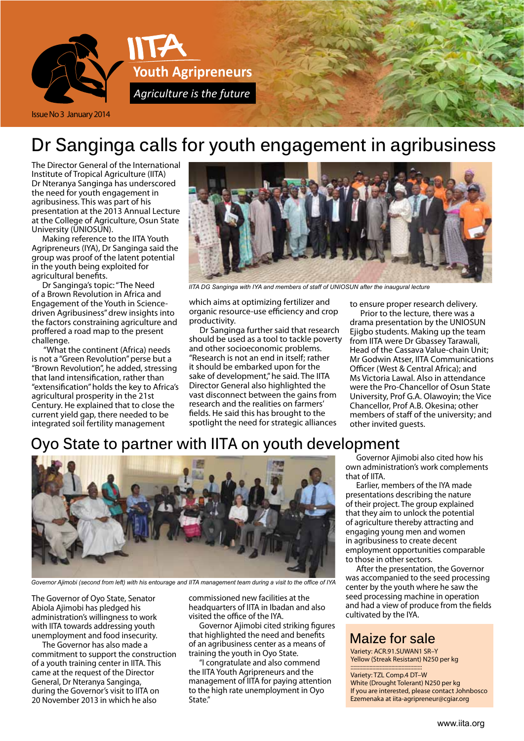

# **Dr Sanginga calls for youth engagement in agribusiness**

The Director General of the International Institute of Tropical Agriculture (IITA) Dr Nteranya Sanginga has underscored the need for youth engagement in agribusiness. This was part of his presentation at the 2013 Annual Lecture at the College of Agriculture, Osun State University (UNIOSUN).

Making reference to the IITA Youth Agripreneurs (IYA), Dr Sanginga said the group was proof of the latent potential in the youth being exploited for agricultural benefits.

Dr Sanginga's topic: "The Need of a Brown Revolution in Africa and Engagement of the Youth in Sciencedriven Agribusiness" drew insights into the factors constraining agriculture and proffered a road map to the present challenge.

 "What the continent (Africa) needs is not a "Green Revolution" perse but a "Brown Revolution", he added, stressing that land intensification, rather than "extensification" holds the key to Africa's agricultural prosperity in the 21st Century. He explained that to close the current yield gap, there needed to be integrated soil fertility management



*IITA DG Sanginga with IYA and members of staff of Uniosun after the inaugural lecture*

which aims at optimizing fertilizer and organic resource-use efficiency and crop productivity.

Dr Sanginga further said that research should be used as a tool to tackle poverty and other socioeconomic problems. "Research is not an end in itself; rather it should be embarked upon for the sake of development," he said. The IITA Director General also highlighted the vast disconnect between the gains from research and the realities on farmers' fields. He said this has brought to the spotlight the need for strategic alliances

to ensure proper research delivery.

Prior to the lecture, there was a drama presentation by the UNIOSUN Ejigbo students. Making up the team from IITA were Dr Gbassey Tarawali, Head of the Cassava Value-chain Unit; Mr Godwin Atser, IITA Communications Officer (West & Central Africa); and Ms Victoria Lawal. Also in attendance were the Pro-Chancellor of Osun State University, Prof G.A. Olawoyin; the Vice Chancellor, Prof A.B. Okesina; other members of staff of the university; and other invited guests.

## **Oyo State to partner with IITA on youth development**



*Governor Ajimobi (second from left) with his entourage and IITA management team during a visit to the office of IYA*

The Governor of Oyo State, Senator Abiola Ajimobi has pledged his administration's willingness to work with IITA towards addressing youth unemployment and food insecurity.

The Governor has also made a commitment to support the construction of a youth training center in IITA. This came at the request of the Director General, Dr Nteranya Sanginga, during the Governor's visit to IITA on 20 November 2013 in which he also

commissioned new facilities at the headquarters of IITA in Ibadan and also visited the office of the IYA.

Governor Ajimobi cited striking figures that highlighted the need and benefits of an agribusiness center as a means of training the youth in Oyo State.

"I congratulate and also commend the IITA Youth Agripreneurs and the management of IITA for paying attention to the high rate unemployment in Oyo State."

Governor Ajimobi also cited how his own administration's work complements that of IITA.

Earlier, members of the IYA made presentations describing the nature of their project. The group explained that they aim to unlock the potential of agriculture thereby attracting and engaging young men and women in agribusiness to create decent employment opportunities comparable to those in other sectors.

After the presentation, the Governor was accompanied to the seed processing center by the youth where he saw the seed processing machine in operation and had a view of produce from the fields cultivated by the IYA.

### **Maize for sale**

Variety: ACR.91.SUWAN1 SR–Y Yellow (Streak Resistant) N250 per kg

::::::::::::::::::::::::::::::::::::::::::::::::: Variety: TZL Comp.4 DT–W White (Drought Tolerant) N250 per kg If you are interested, please contact Johnbosco Ezemenaka at iita-agripreneur@cgiar.org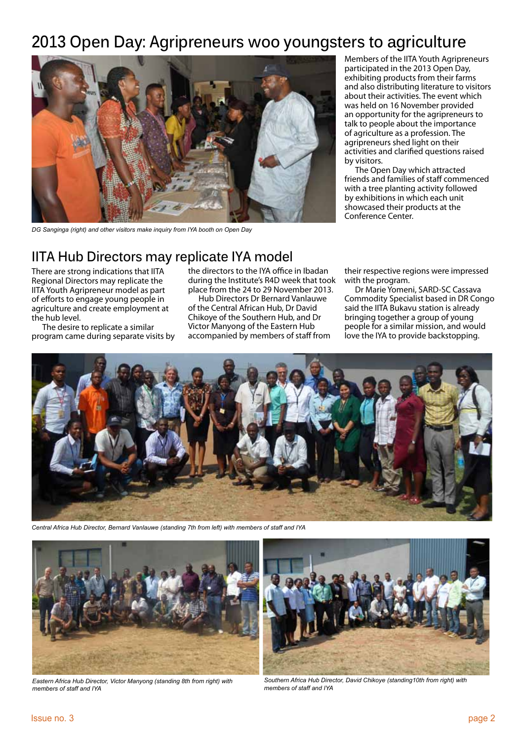## **2013 Open Day: Agripreneurs woo youngsters to agriculture**



*DG Sanginga (right) and other visitors make inquiry from IYA booth on Open Day*

Members of the IITA Youth Agripreneurs participated in the 2013 Open Day, exhibiting products from their farms and also distributing literature to visitors about their activities. The event which was held on 16 November provided an opportunity for the agripreneurs to talk to people about the importance of agriculture as a profession. The agripreneurs shed light on their activities and clarified questions raised by visitors.

The Open Day which attracted friends and families of staff commenced with a tree planting activity followed by exhibitions in which each unit showcased their products at the Conference Center.

### **IITA Hub Directors may replicate IYA model**

There are strong indications that IITA Regional Directors may replicate the IITA Youth Agripreneur model as part of efforts to engage young people in agriculture and create employment at the hub level.

The desire to replicate a similar program came during separate visits by the directors to the IYA office in Ibadan during the Institute's R4D week that took place from the 24 to 29 November 2013.

Hub Directors Dr Bernard Vanlauwe of the Central African Hub, Dr David Chikoye of the Southern Hub, and Dr Victor Manyong of the Eastern Hub accompanied by members of staff from their respective regions were impressed with the program.

Dr Marie Yomeni, SARD-SC Cassava Commodity Specialist based in DR Congo said the IITA Bukavu station is already bringing together a group of young people for a similar mission, and would love the IYA to provide backstopping.



*Central Africa Hub Director, Bernard Vanlauwe (standing 7th from left) with members of staff and IYA*



*Eastern Africa Hub Director, Victor Manyong (standing 8th from right) with members of staff and IYA*



*Southern Africa Hub Director, David Chikoye (standing10th from right) with members of staff and IYA*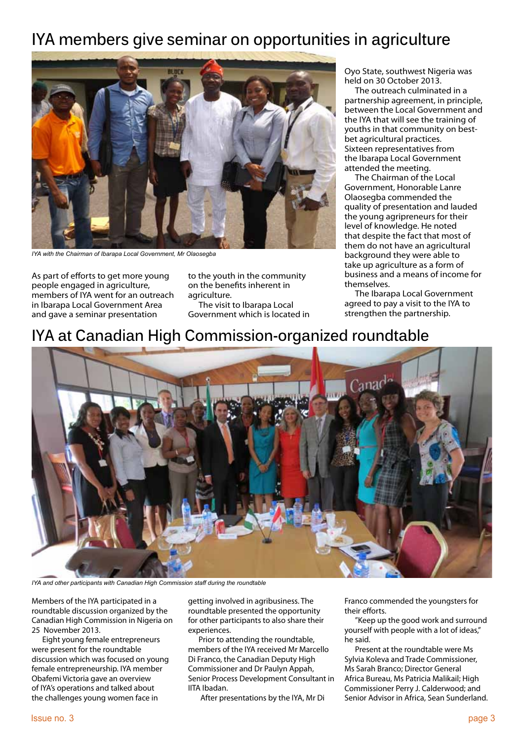## **IYA members give seminar on opportunities in agriculture**



*IYA with the Chairman of Ibarapa Local Government, Mr Olaosegba*

As part of efforts to get more young people engaged in agriculture, members of IYA went for an outreach in Ibarapa Local Government Area and gave a seminar presentation

to the youth in the community on the benefits inherent in agriculture.

The visit to Ibarapa Local Government which is located in

Oyo State, southwest Nigeria was held on 30 October 2013.

The outreach culminated in a partnership agreement, in principle, between the Local Government and the IYA that will see the training of youths in that community on bestbet agricultural practices. Sixteen representatives from the Ibarapa Local Government attended the meeting.

The Chairman of the Local Government, Honorable Lanre Olaosegba commended the quality of presentation and lauded the young agripreneurs for their level of knowledge. He noted that despite the fact that most of them do not have an agricultural background they were able to take up agriculture as a form of business and a means of income for themselves.

The Ibarapa Local Government agreed to pay a visit to the IYA to strengthen the partnership.

## **IYA at Canadian High Commission-organized roundtable**



*IYA and other participants with Canadian High Commission staff during the roundtable*

Members of the IYA participated in a roundtable discussion organized by the Canadian High Commission in Nigeria on 25 November 2013.

Eight young female entrepreneurs were present for the roundtable discussion which was focused on young female entrepreneurship. IYA member Obafemi Victoria gave an overview of IYA's operations and talked about the challenges young women face in

getting involved in agribusiness. The roundtable presented the opportunity for other participants to also share their experiences.

Prior to attending the roundtable, members of the IYA received Mr Marcello Di Franco, the Canadian Deputy High Commissioner and Dr Paulyn Appah, Senior Process Development Consultant in IITA Ibadan.

After presentations by the IYA, Mr Di

Franco commended the youngsters for their efforts.

"Keep up the good work and surround yourself with people with a lot of ideas," he said.

Present at the roundtable were Ms Sylvia Koleva and Trade Commissioner, Ms Sarah Branco; Director General Africa Bureau, Ms Patricia Malikail; High Commissioner Perry J. Calderwood; and Senior Advisor in Africa, Sean Sunderland.